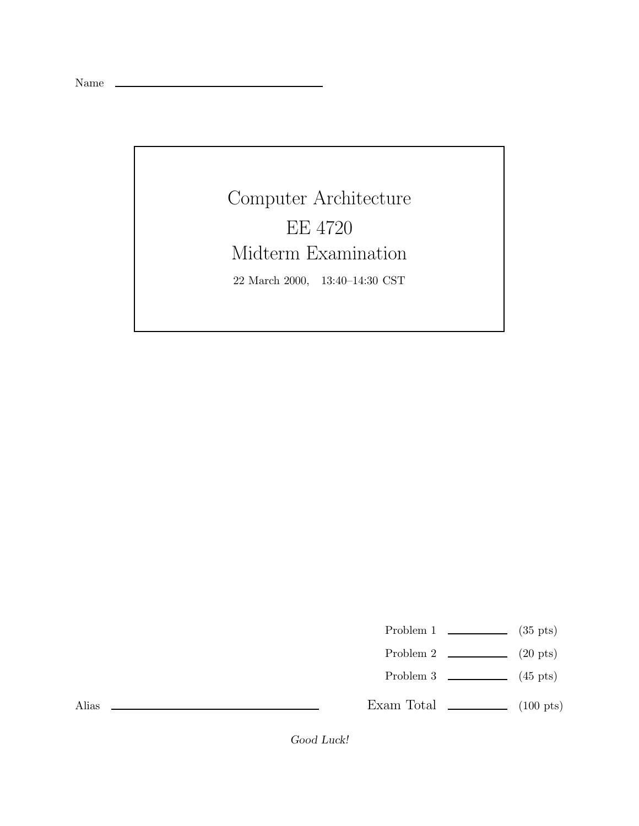Name \_\_

Computer Architecture EE 4720 Midterm Examination 22 March 2000, 13:40–14:30 CST

Problem 1  $\qquad \qquad$  (35 pts)

- Problem 2  $\qquad \qquad$  (20 pts)
- Problem 3  $\qquad \qquad$  (45 pts)

Exam Total  $\qquad \qquad$  (100 pts)

Alias

*Good Luck!*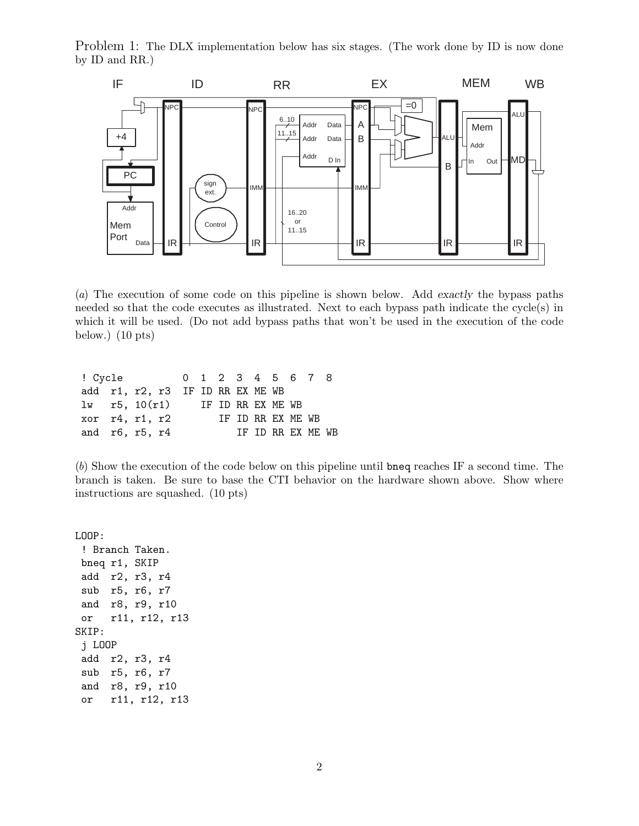Problem 1: The DLX implementation below has six stages. (The work done by ID is now done by ID and RR.)



(a) The execution of some code on this pipeline is shown below. Add *exactly* the bypass paths needed so that the code executes as illustrated. Next to each bypass path indicate the cycle(s) in which it will be used. (Do not add bypass paths that won't be used in the execution of the code below.) (10 pts)

| ! Cycle 0 1 2 3 4 5 6 7 8           |  |  |  |                   |  |  |                    |  |
|-------------------------------------|--|--|--|-------------------|--|--|--------------------|--|
| add r1, r2, r3 IF ID RR EX ME WB    |  |  |  |                   |  |  |                    |  |
| $1w$ r5. $10(r1)$ IF ID RR EX ME WB |  |  |  |                   |  |  |                    |  |
| xor r4, r1, r2                      |  |  |  | IF ID RR EX ME WB |  |  |                    |  |
| and $r6$ , $r5$ , $r4$              |  |  |  |                   |  |  | IF ID RR FX MF. WB |  |

(b) Show the execution of the code below on this pipeline until bneq reaches IF a second time. The branch is taken. Be sure to base the CTI behavior on the hardware shown above. Show where instructions are squashed. (10 pts)

LOOP: ! Branch Taken. bneq r1, SKIP add r2, r3, r4 sub r5, r6, r7 and r8, r9, r10 or r11, r12, r13 SKIP: j LOOP add r2, r3, r4 sub r5, r6, r7 and r8, r9, r10 or r11, r12, r13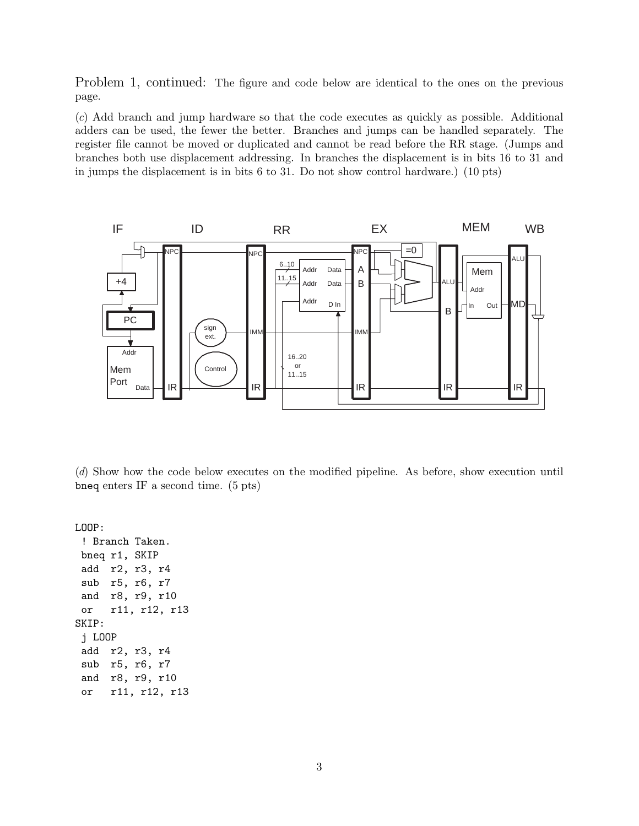Problem 1, continued: The figure and code below are identical to the ones on the previous page.

(c) Add branch and jump hardware so that the code executes as quickly as possible. Additional adders can be used, the fewer the better. Branches and jumps can be handled separately. The register file cannot be moved or duplicated and cannot be read before the RR stage. (Jumps and branches both use displacement addressing. In branches the displacement is in bits 16 to 31 and in jumps the displacement is in bits 6 to 31. Do not show control hardware.) (10 pts)



(d) Show how the code below executes on the modified pipeline. As before, show execution until bneq enters IF a second time. (5 pts)

LOOP:

! Branch Taken. bneq r1, SKIP add r2, r3, r4 sub r5, r6, r7 and r8, r9, r10 or r11, r12, r13 SKIP: j LOOP add r2, r3, r4 sub r5, r6, r7 and r8, r9, r10 or r11, r12, r13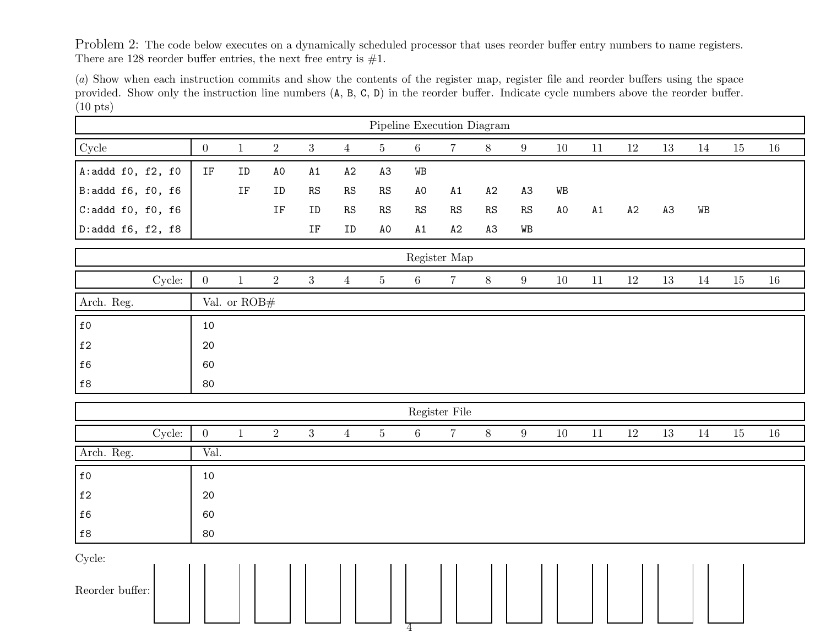Problem 2: The code below executes on a dynamically scheduled processor that uses reorder buffer entry numbers to name registers. There are 128 reorder buffer entries, the next free entry is  $\#1$ .

(a) Show when each instruction commits and show the contents of the register map, register file and reorder buffers using the space provided. Show only the instruction line numbers ( <sup>A</sup>, <sup>B</sup>, <sup>C</sup>, <sup>D</sup>) in the reorder buffer. Indicate cycle numbers above the reorder buffer. (10 pts)

| Pipeline Execution Diagram |        |                     |                     |                |                     |                         |                         |                |                |               |                         |        |        |        |                |        |        |        |
|----------------------------|--------|---------------------|---------------------|----------------|---------------------|-------------------------|-------------------------|----------------|----------------|---------------|-------------------------|--------|--------|--------|----------------|--------|--------|--------|
| Cycle                      |        | $\overline{0}$      | $\mathbf{1}$        | $\sqrt{2}$     | $\sqrt{3}$          | $\overline{4}$          | $5\,$                   | $\,6\,$        | $\overline{7}$ | $8\,$         | $\boldsymbol{9}$        | $10\,$ | $11\,$ | $12\,$ | 13             | 14     | 15     | $16\,$ |
| A:addd $f0$ , $f2$ , $f0$  |        | $\operatorname{IF}$ | ID                  | A0             | $\mathtt{A1}$       | A2                      | A <sub>3</sub>          | WB             |                |               |                         |        |        |        |                |        |        |        |
| B:addd f6, f0, f6          |        |                     | $\operatorname{IF}$ | ID             | $\mathbb{RS}$       | $\mathbb{R}\mathcal{S}$ | $\mathbb{R}\mathcal{S}$ | A <sub>O</sub> | A1             | $\mathtt{A}2$ | A3                      | WB     |        |        |                |        |        |        |
| $C: addd$ f0, f0, f6       |        |                     |                     | IF             | ID                  | $\mathbb{R}\mathcal{S}$ | $\mathbf{R}\mathbf{S}$  | $\mathbf{RS}$  | RS             | $\mathbf{RS}$ | $\mathbb{R}\mathcal{S}$ | A0     | A1     | A2     | A <sub>3</sub> | WB     |        |        |
| D:addd f6, f2, f8          |        |                     |                     |                | $\operatorname{IF}$ | ID                      | A0                      | A1             | A2             | A3            | WB                      |        |        |        |                |        |        |        |
| Register Map               |        |                     |                     |                |                     |                         |                         |                |                |               |                         |        |        |        |                |        |        |        |
|                            | Cycle: | $\boldsymbol{0}$    | $\,1$               | $\sqrt{2}$     | $\sqrt{3}$          | $\overline{4}$          | $5\,$                   | $6\,$          | $\,7$          | $8\,$         | $\boldsymbol{9}$        | $10\,$ | $11\,$ | $12\,$ | 13             | $14\,$ | $15\,$ | $16\,$ |
| Arch. Reg.                 |        | Val. or $ROB#$      |                     |                |                     |                         |                         |                |                |               |                         |        |        |        |                |        |        |        |
| $\mathtt{f0}$              |        | 10                  |                     |                |                     |                         |                         |                |                |               |                         |        |        |        |                |        |        |        |
| $\mathtt{f2}$              |        | 20                  |                     |                |                     |                         |                         |                |                |               |                         |        |        |        |                |        |        |        |
| $\mathtt{f6}$              |        | 60                  |                     |                |                     |                         |                         |                |                |               |                         |        |        |        |                |        |        |        |
| $\mathtt{f}8$              |        | 80                  |                     |                |                     |                         |                         |                |                |               |                         |        |        |        |                |        |        |        |
|                            |        |                     |                     |                |                     |                         |                         |                | Register File  |               |                         |        |        |        |                |        |        |        |
|                            | Cycle: | $\overline{0}$      | $1\,$               | $\overline{2}$ | 3                   | $\overline{4}$          | $\overline{5}$          | $6\,$          | $\overline{7}$ | $8\,$         | $\boldsymbol{9}$        | $10\,$ | $11\,$ | $12\,$ | 13             | 14     | $15\,$ | $16\,$ |
| Arch. Reg.                 |        | Val.                |                     |                |                     |                         |                         |                |                |               |                         |        |        |        |                |        |        |        |
| $\mathtt{f0}$              |        | 10                  |                     |                |                     |                         |                         |                |                |               |                         |        |        |        |                |        |        |        |
| $\mathtt{f}2$              |        | $20\,$              |                     |                |                     |                         |                         |                |                |               |                         |        |        |        |                |        |        |        |
| $\mathtt{f6}$              |        | 60                  |                     |                |                     |                         |                         |                |                |               |                         |        |        |        |                |        |        |        |
| $\mathtt{f}8$              |        | 80                  |                     |                |                     |                         |                         |                |                |               |                         |        |        |        |                |        |        |        |
| Cycle:                     |        |                     |                     |                |                     |                         |                         |                |                |               |                         |        |        |        |                |        |        |        |
| Reorder buffer:            |        |                     |                     |                |                     |                         |                         | 4              |                |               |                         |        |        |        |                |        |        |        |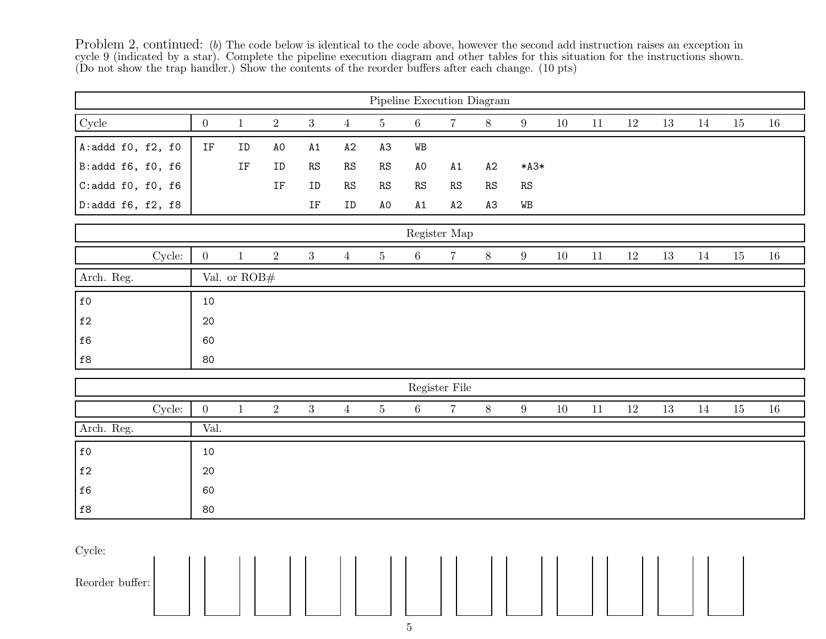Problem 2, continued: (b) The code below is identical to the code above, however the second add instruction raises an exception in cycle 9 (indicated by a star). Complete the pipeline execution diagram and other tables for this situation for the instructions shown.<br>(Do not show the trap handler.) Show the contents of the reorder buffers after each cha

| Pipeline Execution Diagram |                     |                |                     |                 |                            |                |                         |                        |                        |                         |        |        |        |        |        |        |        |
|----------------------------|---------------------|----------------|---------------------|-----------------|----------------------------|----------------|-------------------------|------------------------|------------------------|-------------------------|--------|--------|--------|--------|--------|--------|--------|
| Cycle                      | $\overline{0}$      | $\mathbf{1}$   | $\sqrt{2}$          | $\overline{3}$  | $\overline{4}$             | $5\,$          | $6\,$                   | $\overline{7}$         | $8\,$                  | $\boldsymbol{9}$        | 10     | $11\,$ | $12\,$ | $13\,$ | $14\,$ | 15     | $16\,$ |
| A:addd $f0$ , $f2$ , $f0$  | $\operatorname{IF}$ | ID             | $\hbox{\rm AO}$     | $\mathtt{A1}$   | A2                         | A3             | WB                      |                        |                        |                         |        |        |        |        |        |        |        |
| B:addd f6, f0, f6          |                     | IF             | ID                  | $\mathbf{RS}$   | $\mathop{\rm RS}\nolimits$ | $\mathbf{RS}$  | A0                      | A1                     | A2                     | $*A3*$                  |        |        |        |        |        |        |        |
| C: addd f0, f0, f6         |                     |                | $\operatorname{IF}$ | ID              | $\mathop{\rm RS}\nolimits$ | ${\rm RS}$     | $\mathbb{R}\mathcal{S}$ | $\mathbb{R}\mathbb{S}$ | $\mathbb{R}\mathbb{S}$ | $\mathbb{R}\mathcal{S}$ |        |        |        |        |        |        |        |
| D:addd f6, f2, f8          |                     |                |                     | $\rm IF$        | ${\tt ID}$                 | A <sub>0</sub> | A1                      | A2                     | A3                     | $\mathtt{WB}$           |        |        |        |        |        |        |        |
| Register Map               |                     |                |                     |                 |                            |                |                         |                        |                        |                         |        |        |        |        |        |        |        |
| Cycle:                     | $\overline{0}$      | $\,1\,$        | $\sqrt{2}$          | $\overline{3}$  | $\overline{4}$             | $\bf 5$        | $6\,$                   | $\,7$                  | $8\,$                  | $\boldsymbol{9}$        | $10\,$ | $11\,$ | $12\,$ | 13     | $14\,$ | $15\,$ | $16\,$ |
| Arch. Reg.                 |                     | Val. or $ROB#$ |                     |                 |                            |                |                         |                        |                        |                         |        |        |        |        |        |        |        |
| $\mathtt{f0}$              | 10                  |                |                     |                 |                            |                |                         |                        |                        |                         |        |        |        |        |        |        |        |
| $\mathtt{f}2$              | $20\,$              |                |                     |                 |                            |                |                         |                        |                        |                         |        |        |        |        |        |        |        |
| $\mathtt{f6}$              | 60                  |                |                     |                 |                            |                |                         |                        |                        |                         |        |        |        |        |        |        |        |
| $\mathtt{f}8$              | 80                  |                |                     |                 |                            |                |                         |                        |                        |                         |        |        |        |        |        |        |        |
|                            |                     |                |                     |                 |                            |                |                         | Register File          |                        |                         |        |        |        |        |        |        |        |
| Cycle:                     | $\mathbf{0}$        | $1\,$          | $\sqrt{2}$          | $3\phantom{.0}$ | $\overline{4}$             | $\bf 5$        | $6\,$                   | $\,7$                  | $8\,$                  | $9\,$                   | $10\,$ | $11\,$ | $12\,$ | $13\,$ | $14\,$ | $15\,$ | $16\,$ |
| Arch. Reg.                 | Val.                |                |                     |                 |                            |                |                         |                        |                        |                         |        |        |        |        |        |        |        |
| $\mathtt{f0}$              | 10                  |                |                     |                 |                            |                |                         |                        |                        |                         |        |        |        |        |        |        |        |
| $\mathtt{f2}$              | 20                  |                |                     |                 |                            |                |                         |                        |                        |                         |        |        |        |        |        |        |        |
| $\mathtt{f6}$              | 60                  |                |                     |                 |                            |                |                         |                        |                        |                         |        |        |        |        |        |        |        |
| $\mathtt{f}8$              | 80                  |                |                     |                 |                            |                |                         |                        |                        |                         |        |        |        |        |        |        |        |
| Cycle:<br>Reorder buffer:  |                     |                |                     |                 |                            |                | $\overline{a}$          |                        |                        |                         |        |        |        |        |        |        |        |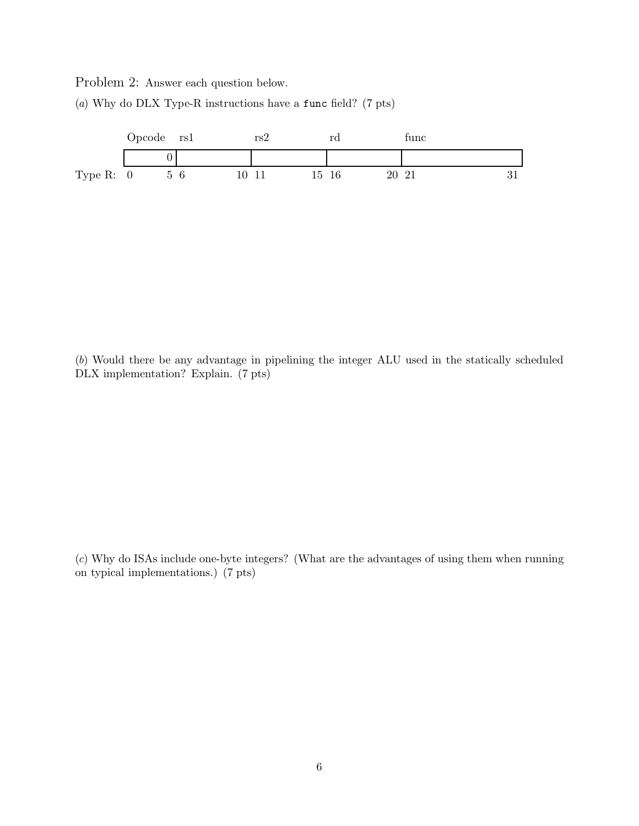Problem 2: Answer each question below.



(a) Why do DLX Type-R instructions have a func field? (7 pts)

(b) Would there be any advantage in pipelining the integer ALU used in the statically scheduled DLX implementation? Explain. (7 pts)

(c) Why do ISAs include one-byte integers? (What are the advantages of using them when running on typical implementations.) (7 pts)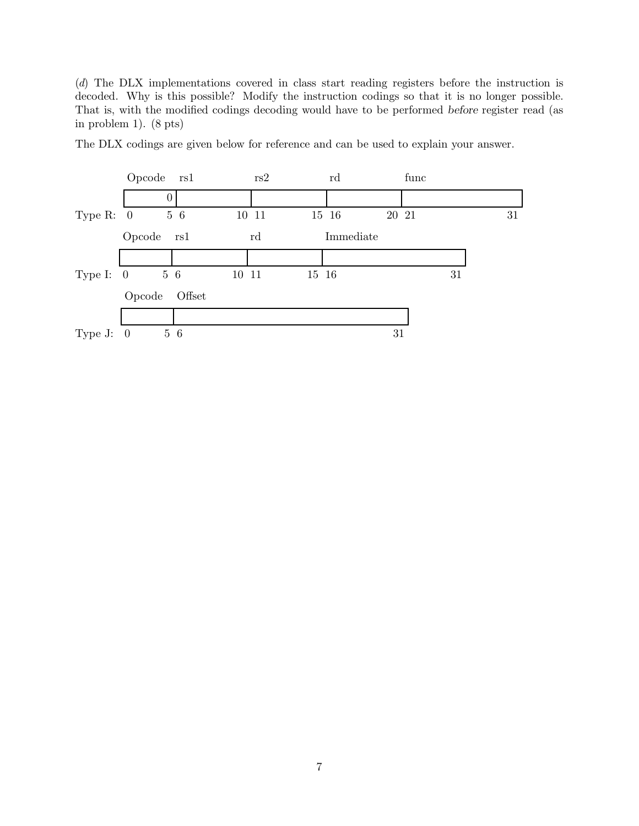(d) The DLX implementations covered in class start reading registers before the instruction is decoded. Why is this possible? Modify the instruction codings so that it is no longer possible. That is, with the modified codings decoding would have to be performed *before* register read (as in problem 1). (8 pts)



The DLX codings are given below for reference and can be used to explain your answer.